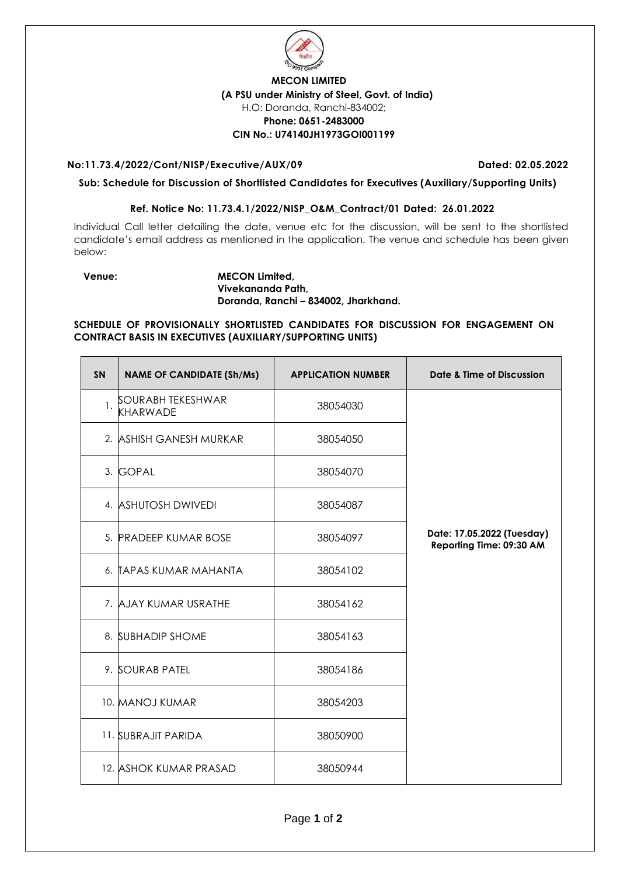

## **MECON LIMITED (A PSU under Ministry of Steel, Govt. of India)** H.O: Doranda, Ranchi-834002; **Phone: 0651-2483000 CIN No.: U74140JH1973GOI001199**

## **No:11.73.4/2022/Cont/NISP/Executive/AUX/09 Dated: 02.05.2022**

**Sub: Schedule for Discussion of Shortlisted Candidates for Executives (Auxiliary/Supporting Units)** 

## **Ref. Notice No: 11.73.4.1/2022/NISP\_O&M\_Contract/01 Dated: 26.01.2022**

Individual Call letter detailing the date, venue etc for the discussion, will be sent to the shortlisted candidate's email address as mentioned in the application. The venue and schedule has been given below:

## **Venue: MECON Limited, Vivekananda Path, Doranda, Ranchi – 834002, Jharkhand.**

**SCHEDULE OF PROVISIONALLY SHORTLISTED CANDIDATES FOR DISCUSSION FOR ENGAGEMENT ON CONTRACT BASIS IN EXECUTIVES (AUXILIARY/SUPPORTING UNITS)**

| <b>SN</b> | <b>NAME OF CANDIDATE (Sh/Ms)</b>     | <b>APPLICATION NUMBER</b> | <b>Date &amp; Time of Discussion</b>                   |
|-----------|--------------------------------------|---------------------------|--------------------------------------------------------|
| 1.        | SOURABH TEKESHWAR<br><b>KHARWADE</b> | 38054030                  |                                                        |
|           | 2. ASHISH GANESH MURKAR              | 38054050                  |                                                        |
|           | 3. GOPAL                             | 38054070                  |                                                        |
|           | 4. ASHUTOSH DWIVEDI                  | 38054087                  |                                                        |
|           | 5. PRADEEP KUMAR BOSE                | 38054097                  | Date: 17.05.2022 (Tuesday)<br>Reporting Time: 09:30 AM |
|           | 6. TAPAS KUMAR MAHANTA               | 38054102                  |                                                        |
|           | 7. AJAY KUMAR USRATHE                | 38054162                  |                                                        |
|           | 8. SUBHADIP SHOME                    | 38054163                  |                                                        |
|           | 9. SOURAB PATEL                      | 38054186                  |                                                        |
|           | 10. MANOJ KUMAR                      | 38054203                  |                                                        |
|           | 11. SUBRAJIT PARIDA                  | 38050900                  |                                                        |
|           | <b>12. ASHOK KUMAR PRASAD</b>        | 38050944                  |                                                        |